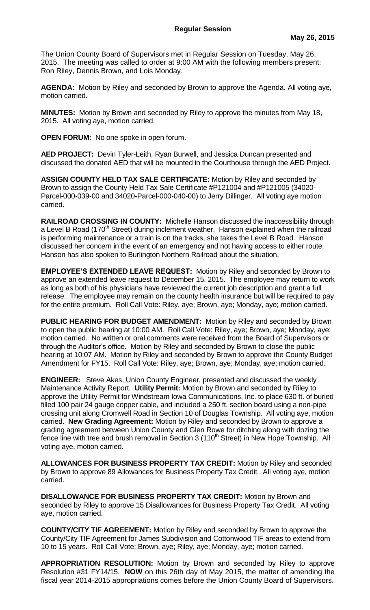The Union County Board of Supervisors met in Regular Session on Tuesday, May 26, 2015. The meeting was called to order at 9:00 AM with the following members present: Ron Riley, Dennis Brown, and Lois Monday.

**AGENDA:** Motion by Riley and seconded by Brown to approve the Agenda. All voting aye, motion carried.

**MINUTES:** Motion by Brown and seconded by Riley to approve the minutes from May 18, 2015. All voting aye, motion carried.

**OPEN FORUM:** No one spoke in open forum.

**AED PROJECT:** Devin Tyler-Leith, Ryan Burwell, and Jessica Duncan presented and discussed the donated AED that will be mounted in the Courthouse through the AED Project.

**ASSIGN COUNTY HELD TAX SALE CERTIFICATE:** Motion by Riley and seconded by Brown to assign the County Held Tax Sale Certificate #P121004 and #P121005 (34020- Parcel-000-039-00 and 34020-Parcel-000-040-00) to Jerry Dillinger. All voting aye motion carried.

**RAILROAD CROSSING IN COUNTY:** Michelle Hanson discussed the inaccessibility through a Level B Road (170<sup>th</sup> Street) during inclement weather. Hanson explained when the railroad is performing maintenance or a train is on the tracks, she takes the Level B Road. Hanson discussed her concern in the event of an emergency and not having access to either route. Hanson has also spoken to Burlington Northern Railroad about the situation.

**EMPLOYEE'S EXTENDED LEAVE REQUEST:** Motion by Riley and seconded by Brown to approve an extended leave request to December 15, 2015. The employee may return to work as long as both of his physicians have reviewed the current job description and grant a full release. The employee may remain on the county health insurance but will be required to pay for the entire premium. Roll Call Vote: Riley, aye; Brown, aye; Monday, aye; motion carried.

**PUBLIC HEARING FOR BUDGET AMENDMENT:** Motion by Riley and seconded by Brown to open the public hearing at 10:00 AM. Roll Call Vote: Riley, aye; Brown, aye; Monday, aye; motion carried. No written or oral comments were received from the Board of Supervisors or through the Auditor's office. Motion by Riley and seconded by Brown to close the public hearing at 10:07 AM. Motion by Riley and seconded by Brown to approve the County Budget Amendment for FY15. Roll Call Vote: Riley, aye; Brown, aye; Monday, aye; motion carried.

**ENGINEER:** Steve Akes, Union County Engineer, presented and discussed the weekly Maintenance Activity Report. **Utility Permit:** Motion by Brown and seconded by Riley to approve the Utility Permit for Windstream Iowa Communications, Inc. to place 630 ft. of buried filled 100 pair 24 gauge copper cable, and included a 250 ft. section board using a non-pipe crossing unit along Cromwell Road in Section 10 of Douglas Township. All voting aye, motion carried. **New Grading Agreement:** Motion by Riley and seconded by Brown to approve a grading agreement between Union County and Glen Rowe for ditching along with dozing the fence line with tree and brush removal in Section 3 (110<sup>th</sup> Street) in New Hope Township. All voting aye, motion carried.

**ALLOWANCES FOR BUSINESS PROPERTY TAX CREDIT:** Motion by Riley and seconded by Brown to approve 89 Allowances for Business Property Tax Credit. All voting aye, motion carried.

**DISALLOWANCE FOR BUSINESS PROPERTY TAX CREDIT:** Motion by Brown and seconded by Riley to approve 15 Disallowances for Business Property Tax Credit. All voting aye, motion carried.

**COUNTY/CITY TIF AGREEMENT:** Motion by Riley and seconded by Brown to approve the County/City TIF Agreement for James Subdivision and Cottonwood TIF areas to extend from 10 to 15 years. Roll Call Vote: Brown, aye; Riley, aye; Monday, aye; motion carried.

**APPROPRIATION RESOLUTION:** Motion by Brown and seconded by Riley to approve Resolution #31 FY14/15. **NOW** on this 26th day of May 2015, the matter of amending the fiscal year 2014-2015 appropriations comes before the Union County Board of Supervisors.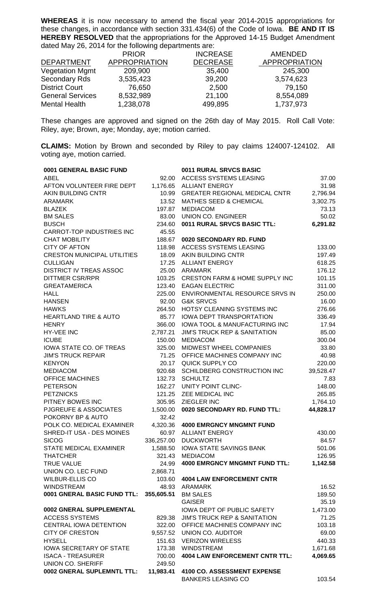**WHEREAS** it is now necessary to amend the fiscal year 2014-2015 appropriations for these changes, in accordance with section 331.434(6) of the Code of Iowa. **BE AND IT IS HEREBY RESOLVED** that the appropriations for the Approved 14-15 Budget Amendment dated May 26, 2014 for the following departments are:

|                         | <b>PRIOR</b>         | <b>INCREASE</b> | <b>AMENDED</b>       |
|-------------------------|----------------------|-----------------|----------------------|
| <b>DEPARTMENT</b>       | <b>APPROPRIATION</b> | <b>DECREASE</b> | <b>APPROPRIATION</b> |
| <b>Vegetation Mgmt</b>  | 209,900              | 35,400          | 245,300              |
| <b>Secondary Rds</b>    | 3,535,423            | 39,200          | 3,574,623            |
| <b>District Court</b>   | 76,650               | 2,500           | 79,150               |
| <b>General Services</b> | 8,532,989            | 21,100          | 8,554,089            |
| <b>Mental Health</b>    | 1,238,078            | 499,895         | 1,737,973            |

These changes are approved and signed on the 26th day of May 2015. Roll Call Vote: Riley, aye; Brown, aye; Monday, aye; motion carried.

**CLAIMS:** Motion by Brown and seconded by Riley to pay claims 124007-124102. All voting aye, motion carried.

| 0001 GENERAL BASIC FUND            |            | 0011 RURAL SRVCS BASIC                  |           |
|------------------------------------|------------|-----------------------------------------|-----------|
| <b>ABEL</b>                        | 92.00      | <b>ACCESS SYSTEMS LEASING</b>           | 37.00     |
| AFTON VOLUNTEER FIRE DEPT          |            | 1,176.65 ALLIANT ENERGY                 | 31.98     |
| AKIN BUILDING CNTR                 |            | 10.99 GREATER REGIONAL MEDICAL CNTR     | 2,796.94  |
| <b>ARAMARK</b>                     |            | 13.52 MATHES SEED & CHEMICAL            | 3,302.75  |
| <b>BLAZEK</b>                      | 197.87     | <b>MEDIACOM</b>                         | 73.13     |
| <b>BM SALES</b>                    |            | 83.00 UNION CO. ENGINEER                | 50.02     |
| <b>BUSCH</b>                       | 234.60     | 0011 RURAL SRVCS BASIC TTL:             | 6,291.82  |
| CARROT-TOP INDUSTRIES INC          | 45.55      |                                         |           |
| <b>CHAT MOBILITY</b>               | 188.67     | 0020 SECONDARY RD. FUND                 |           |
| <b>CITY OF AFTON</b>               | 118.98     | ACCESS SYSTEMS LEASING                  | 133.00    |
| <b>CRESTON MUNICIPAL UTILITIES</b> | 18.09      | AKIN BUILDING CNTR                      | 197.49    |
| <b>CULLIGAN</b>                    | 17.25      | <b>ALLIANT ENERGY</b>                   | 618.25    |
| <b>DISTRICT IV TREAS ASSOC</b>     |            | 25.00 ARAMARK                           | 176.12    |
| <b>DITTMER CSR/RPR</b>             |            | 103.25 CRESTON FARM & HOME SUPPLY INC   | 101.15    |
| <b>GREATAMERICA</b>                | 123.40     | <b>EAGAN ELECTRIC</b>                   | 311.00    |
| <b>HALL</b>                        | 225.00     | ENVIRONMENTAL RESOURCE SRVS IN          | 250.00    |
| <b>HANSEN</b>                      | 92.00      | <b>G&amp;K SRVCS</b>                    | 16.00     |
| <b>HAWKS</b>                       | 264.50     | HOTSY CLEANING SYSTEMS INC              | 276.66    |
| <b>HEARTLAND TIRE &amp; AUTO</b>   |            | 85.77 IOWA DEPT TRANSPORTATION          | 336.49    |
| <b>HENRY</b>                       |            | 366.00 IOWA TOOL & MANUFACTURING INC    | 17.94     |
| <b>HY-VEE INC</b>                  | 2,787.21   | <b>JIM'S TRUCK REP &amp; SANITATION</b> | 85.00     |
| <b>ICUBE</b>                       | 150.00     | <b>MEDIACOM</b>                         | 300.04    |
| IOWA STATE CO. OF TREAS            | 325.00     | MIDWEST WHEEL COMPANIES                 | 33.80     |
| <b>JIM'S TRUCK REPAIR</b>          | 71.25      | OFFICE MACHINES COMPANY INC             | 40.98     |
| <b>KENYON</b>                      | 20.17      | QUICK SUPPLY CO                         | 220.00    |
| <b>MEDIACOM</b>                    | 920.68     | SCHILDBERG CONSTRUCTION INC             | 39,528.47 |
| <b>OFFICE MACHINES</b>             | 132.73     | <b>SCHULTZ</b>                          | 7.83      |
| <b>PETERSON</b>                    | 162.27     | UNITY POINT CLINC-                      | 148.00    |
| <b>PETZNICKS</b>                   |            | 121.25 ZEE MEDICAL INC                  | 265.85    |
| PITNEY BOWES INC                   |            | 305.95 ZIEGLER INC                      | 1,764.10  |
| PJGREUFE & ASSOCIATES              | 1,500.00   | 0020 SECONDARY RD. FUND TTL:            | 44,828.17 |
| POKORNY BP & AUTO                  | 32.42      |                                         |           |
| POLK CO. MEDICAL EXAMINER          |            | 4,320.36 4000 EMRGNCY MNGMNT FUND       |           |
| SHRED-IT USA - DES MOINES          | 60.97      | <b>ALLIANT ENERGY</b>                   | 430.00    |
| <b>SICOG</b>                       |            | 336,257.00 DUCKWORTH                    | 84.57     |
| <b>STATE MEDICAL EXAMINER</b>      |            | 1,588.50 IOWA STATE SAVINGS BANK        | 501.06    |
| <b>THATCHER</b>                    |            | 321.43 MEDIACOM                         | 126.95    |
| <b>TRUE VALUE</b>                  | 24.99      | <b>4000 EMRGNCY MNGMNT FUND TTL:</b>    | 1,142.58  |
| UNION CO. LEC FUND                 | 2,868.71   |                                         |           |
| <b>WILBUR-ELLIS CO</b>             | 103.60     | <b>4004 LAW ENFORCEMENT CNTR</b>        |           |
| <b>WINDSTREAM</b>                  | 48.93      | ARAMARK                                 | 16.52     |
| 0001 GNERAL BASIC FUND TTL:        | 355,605.51 | <b>BM SALES</b>                         | 189.50    |
|                                    |            | <b>GAISER</b>                           | 35.19     |
| 0002 GNERAL SUPPLEMENTAL           |            | IOWA DEPT OF PUBLIC SAFETY              | 1,473.00  |
| <b>ACCESS SYSTEMS</b>              | 829.38     | <b>JIM'S TRUCK REP &amp; SANITATION</b> | 71.25     |
| CENTRAL IOWA DETENTION             |            | 322.00 OFFICE MACHINES COMPANY INC      | 103.18    |
| <b>CITY OF CRESTON</b>             |            | 9,557.52 UNION CO. AUDITOR              | 69.00     |
| <b>HYSELL</b>                      | 151.63     | <b>VERIZON WIRELESS</b>                 | 440.33    |
| <b>IOWA SECRETARY OF STATE</b>     | 173.38     | <b>WINDSTREAM</b>                       | 1,671.68  |
| <b>ISACA - TREASURER</b>           | 700.00     | <b>4004 LAW ENFORCEMENT CNTR TTL:</b>   | 4,069.65  |
| <b>UNION CO. SHERIFF</b>           | 249.50     |                                         |           |
| 0002 GNERAL SUPLEMNTL TTL:         | 11,983.41  | 4100 CO. ASSESSMENT EXPENSE             |           |
|                                    |            | <b>BANKERS LEASING CO</b>               | 103.54    |